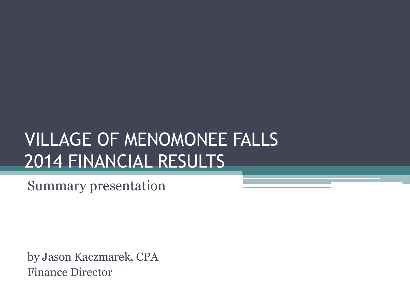## VILLAGE OF MENOMONEE FALLS 2014 FINANCIAL RESULTS

Summary presentation

by Jason Kaczmarek, CPA Finance Director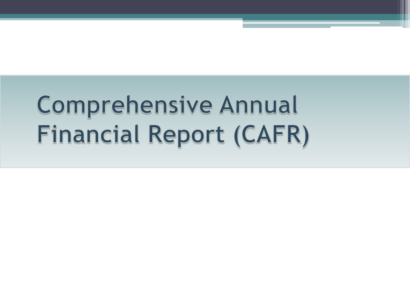# **Comprehensive Annual** Financial Report (CAFR)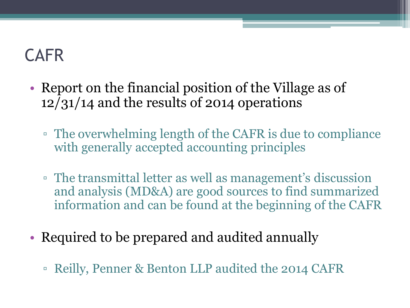## CAFR

- Report on the financial position of the Village as of 12/31/14 and the results of 2014 operations
	- The overwhelming length of the CAFR is due to compliance with generally accepted accounting principles
	- The transmittal letter as well as management's discussion and analysis (MD&A) are good sources to find summarized information and can be found at the beginning of the CAFR
- Required to be prepared and audited annually
	- Reilly, Penner & Benton LLP audited the 2014 CAFR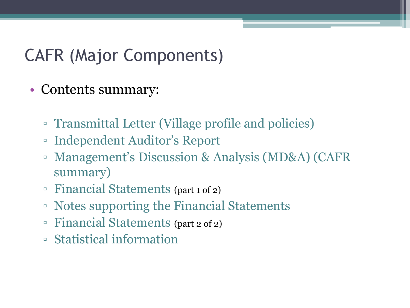## CAFR (Major Components)

- Contents summary:
	- Transmittal Letter (Village profile and policies)
	- Independent Auditor's Report
	- Management's Discussion & Analysis (MD&A) (CAFR summary)
	- Financial Statements (part 1 of 2)
	- Notes supporting the Financial Statements
	- Financial Statements (part 2 of 2)
	- Statistical information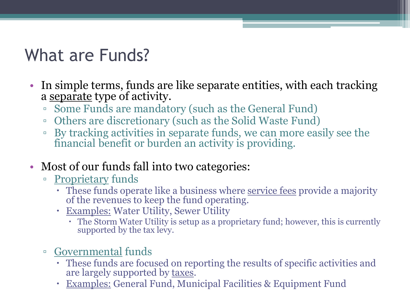## What are Funds?

- In simple terms, funds are like separate entities, with each tracking a separate type of activity.
	- Some Funds are mandatory (such as the General Fund)
	- Others are discretionary (such as the Solid Waste Fund)
	- By tracking activities in separate funds, we can more easily see the financial benefit or burden an activity is providing.
- Most of our funds fall into two categories:
	- **Proprietary funds** 
		- These funds operate like a business where service fees provide a majority of the revenues to keep the fund operating.
		- Examples: Water Utility, Sewer Utility
			- The Storm Water Utility is setup as a proprietary fund; however, this is currently supported by the tax levy.
	- Governmental funds
		- These funds are focused on reporting the results of specific activities and are largely supported by taxes.
		- Examples: General Fund, Municipal Facilities & Equipment Fund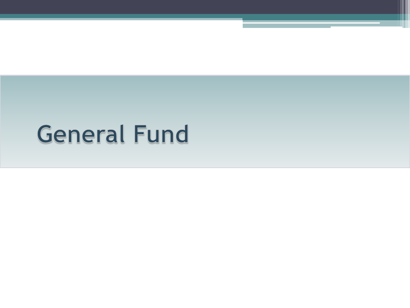# **General Fund**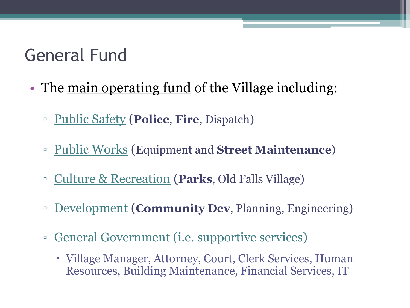## General Fund

- The <u>main operating fund</u> of the Village including:
	- Public Safety (**Police**, **Fire**, Dispatch)
	- Public Works (Equipment and **Street Maintenance**)
	- Culture & Recreation (**Parks**, Old Falls Village)
	- Development (**Community Dev**, Planning, Engineering)
	- General Government (i.e. supportive services)
		- Village Manager, Attorney, Court, Clerk Services, Human Resources, Building Maintenance, Financial Services, IT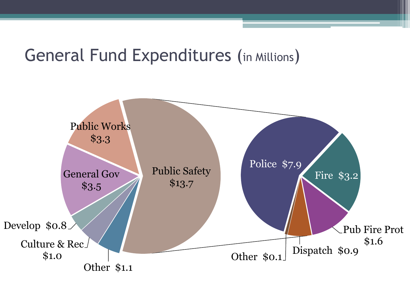#### General Fund Expenditures (in Millions)

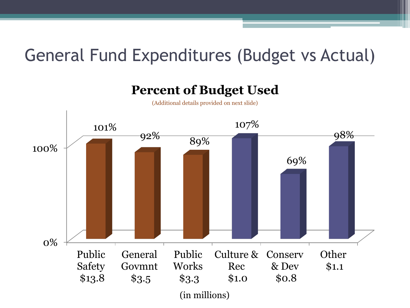## General Fund Expenditures (Budget vs Actual)

#### **Percent of Budget Used**

(Additional details provided on next slide)

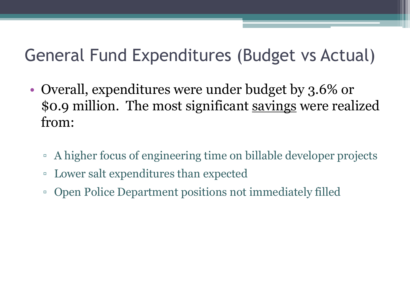## General Fund Expenditures (Budget vs Actual)

- Overall, expenditures were under budget by 3.6% or \$0.9 million. The most significant savings were realized from:
	- A higher focus of engineering time on billable developer projects
	- Lower salt expenditures than expected
	- Open Police Department positions not immediately filled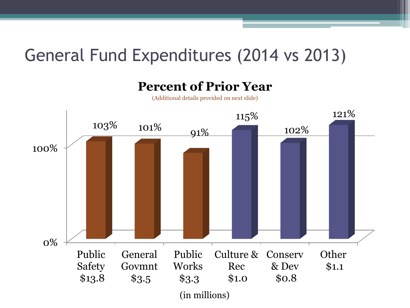## General Fund Expenditures (2014 vs 2013)

**Percent of Prior Year**

(Additional details provided on next slide)

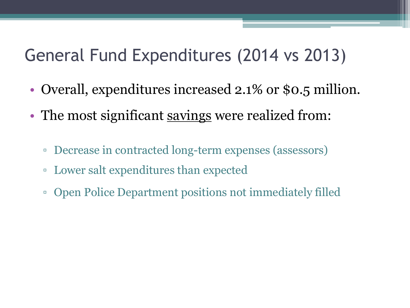## General Fund Expenditures (2014 vs 2013)

- Overall, expenditures increased 2.1% or \$0.5 million.
- The most significant savings were realized from:
	- Decrease in contracted long-term expenses (assessors)
	- Lower salt expenditures than expected
	- Open Police Department positions not immediately filled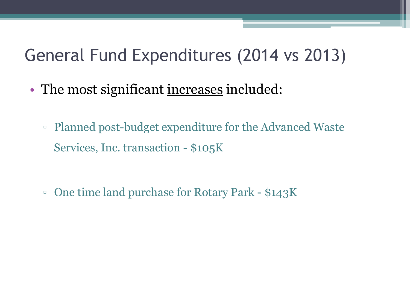## General Fund Expenditures (2014 vs 2013)

- The most significant increases included:
	- Planned post-budget expenditure for the Advanced Waste Services, Inc. transaction - \$105K
	- One time land purchase for Rotary Park \$143K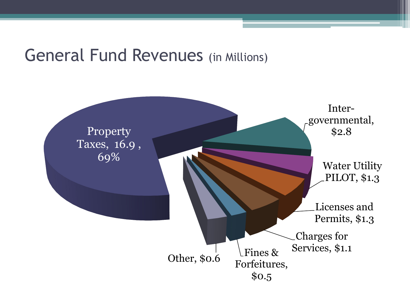#### General Fund Revenues (in Millions)

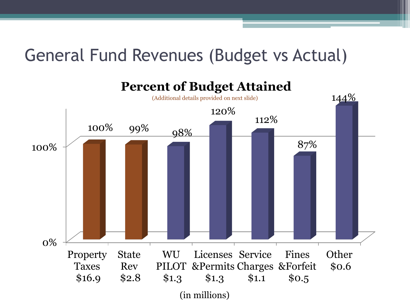### General Fund Revenues (Budget vs Actual)

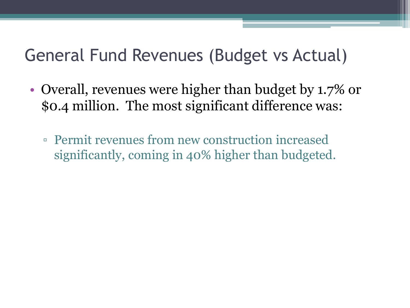### General Fund Revenues (Budget vs Actual)

- Overall, revenues were higher than budget by 1.7% or \$0.4 million. The most significant difference was:
	- Permit revenues from new construction increased significantly, coming in 40% higher than budgeted.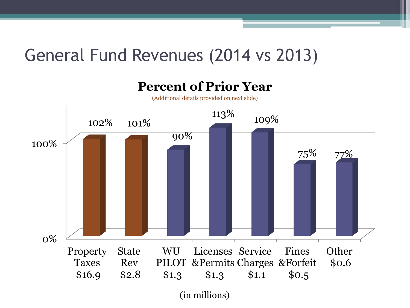## General Fund Revenues (2014 vs 2013)



(in millions)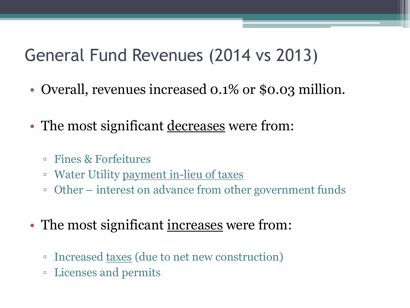## General Fund Revenues (2014 vs 2013)

- Overall, revenues increased 0.1% or \$0.03 million.
- The most significant decreases were from:
	- Fines & Forfeitures
	- Water Utility <u>payment in-lieu of taxes</u>
	- Other interest on advance from other government funds
- The most significant increases were from:
	- Increased taxes (due to net new construction)
	- Licenses and permits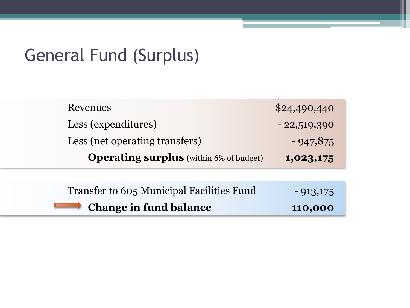### General Fund (Surplus)

| Revenues                                       | \$24,490,440  |
|------------------------------------------------|---------------|
| Less (expenditures)                            | $-22,519,390$ |
| Less (net operating transfers)                 | $-947,875$    |
| <b>Operating surplus</b> (within 6% of budget) | 1,023,175     |
|                                                |               |
| Transfer to 605 Municipal Facilities Fund      | $-913,175$    |
| <b>Change in fund balance</b>                  | 110,000       |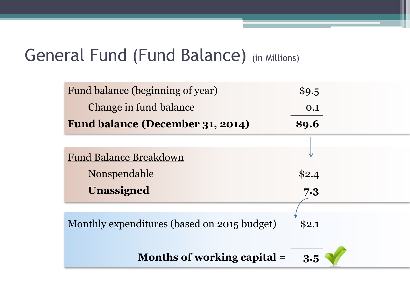### General Fund (Fund Balance) (in Millions)

| Fund balance (beginning of year)            | \$9.5 |
|---------------------------------------------|-------|
| Change in fund balance                      | 0.1   |
| Fund balance (December 31, 2014)            | \$9.6 |
|                                             |       |
| <b>Fund Balance Breakdown</b>               |       |
| Nonspendable                                | \$2.4 |
| <b>Unassigned</b>                           | 7.3   |
|                                             |       |
| Monthly expenditures (based on 2015 budget) | \$2.1 |
|                                             |       |
| Months of working capital =                 | 3.5   |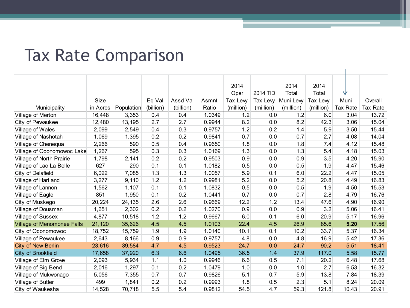#### Tax Rate Comparison

|                                   |             |            |           |           |        | 2014      |           | 2014      | 2014      |          |          |
|-----------------------------------|-------------|------------|-----------|-----------|--------|-----------|-----------|-----------|-----------|----------|----------|
|                                   |             |            |           |           |        | Oper      | 2014 TID  | Total     | Total     | ₩        |          |
|                                   | <b>Size</b> |            | Eq Val    | Assd Val  | Asmnt  | Tax Lew   | Tax Levy  | Muni Levy | Tax Lew   | Muni     | Overall  |
| Municipality                      | in Acres    | Population | (billion) | (billion) | Ratio  | (million) | (million) | (million) | (million) | Tax Rate | Tax Rate |
| Village of Merton                 | 16,448      | 3,353      | 0.4       | 0.4       | 1.0349 | 1.2       | 0.0       | 1.2       | 6.0       | 3.04     | 13.72    |
| City of Pewaukee                  | 12,480      | 13,195     | 2.7       | 2.7       | 0.9944 | 8.2       | 0.0       | 8.2       | 42.3      | 3.06     | 15.04    |
| Village of Wales                  | 2,099       | 2,549      | 0.4       | 0.3       | 0.9757 | 1.2       | 0.2       | 1.4       | 5.9       | 3.50     | 15.44    |
| Village of Nashotah               | 1,069       | 1,395      | 0.2       | 0.2       | 0.9841 | 0.7       | 0.0       | 0.7       | 2.7       | 4.08     | 14.04    |
| Village of Chenequa               | 2,266       | 590        | 0.5       | 0.4       | 0.9650 | 1.8       | 0.0       | 1.8       | 7.4       | 4.12     | 15.48    |
| Village of Oconomowoc Lake        | 1,267       | 595        | 0.3       | 0.3       | 1.0169 | 1.3       | 0.0       | 1.3       | 5.4       | 4.18     | 15.03    |
| Village of North Prairie          | 1,798       | 2,141      | 0.2       | 0.2       | 0.9503 | 0.9       | 0.0       | 0.9       | 3.5       | 4.20     | 15.90    |
| Village of Lac La Belle           | 627         | 290        | 0.1       | 0.1       | 1.0182 | 0.5       | 0.0       | 0.5       | 1.9       | 4.47     | 15.46    |
| City of Delafield                 | 6,022       | 7,085      | 1.3       | 1.3       | 1.0057 | 5.9       | 0.1       | 6.0       | 22.2      | 4.47     | 15.05    |
| Village of Hartland               | 3,277       | 9,110      | 1.2       | 1.2       | 0.9981 | 5.2       | 0.0       | 5.2       | 20.8      | 4.49     | 16.83    |
| Village of Lannon                 | 1,562       | 1,107      | 0.1       | 0.1       | 1.0832 | 0.5       | 0.0       | 0.5       | 1.9       | 4.50     | 15.53    |
| Village of Eagle                  | 851         | 1,950      | 0.1       | 0.2       | 1.0441 | 0.7       | 0.0       | 0.7       | 2.8       | 4.79     | 16.76    |
| City of Muskego                   | 20,224      | 24,135     | 2.6       | 2.6       | 0.9669 | 12.2      | 1.2       | 13.4      | 47.6      | 4.90     | 16.90    |
| Village of Dousman                | 1,651       | 2,302      | 0.2       | 0.2       | 1.0270 | 0.9       | 0.0       | 0.9       | 3.2       | 5.06     | 16.41    |
| Village of Sussex                 | 4,877       | 10,518     | 1.2       | 1.2       | 0.9667 | 6.0       | 0.1       | 6.0       | 20.9      | 5.17     | 16.96    |
| <b>Village of Menomonee Falls</b> | 21,120      | 35,626     | 4.5       | 4.5       | 1.0103 | 22.4      | 4.5       | 26.9      | 85.6      | 5.20     | 17.56    |
| City of Oconomowoc                | 18,752      | 15,759     | 1.9       | 1.9       | 1.0140 | 10.1      | 0.1       | 10.2      | 33.7      | 5.37     | 16.34    |
| Village of Pewaukee               | 2,643       | 8,166      | 0.9       | 0.9       | 0.9757 | 4.8       | 0.0       | 4.8       | 16.9      | 5.42     | 17.36    |
| <b>City of New Berlin</b>         | 23,616      | 39,584     | 4.7       | 4.5       | 0.9523 | 24.7      | 0.0       | 24.7      | 90.2      | 5.51     | 18.41    |
| City of Brookfield                | 17,658      | 37,920     | 6.3       | 6.6       | 1.0495 | 36.5      | 1.4       | 37.9      | 117.0     | 5.58     | 15.77    |
| Village of Elm Grove              | 2,093       | 5,934      | 1.1       | 1.0       | 0.9946 | 6.6       | 0.5       | 7.1       | 20.2      | 6.48     | 17.68    |
| Village of Big Bend               | 2,016       | 1,297      | 0.1       | 0.2       | 1.0479 | 1.0       | 0.0       | 1.0       | 2.7       | 6.53     | 16.32    |
| Village of Mukwonago              | 5,056       | 7,355      | 0.7       | 0.7       | 0.9826 | 5.1       | 0.7       | 5.9       | 13.8      | 7.84     | 18.39    |
| Village of Butler                 | 499         | 1,841      | 0.2       | 0.2       | 0.9993 | 1.8       | 0.5       | 2.3       | 5.1       | 8.24     | 20.09    |
| City of Waukesha                  | 14,528      | 70,718     | 5.5       | 5.4       | 0.9812 | 54.5      | 4.7       | 59.3      | 121.8     | 10.43    | 20.91    |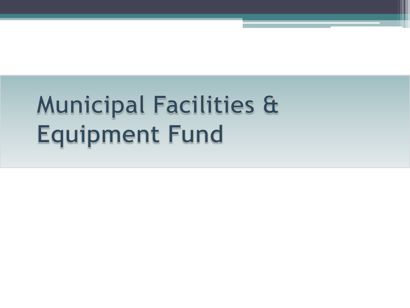# **Municipal Facilities &** Equipment Fund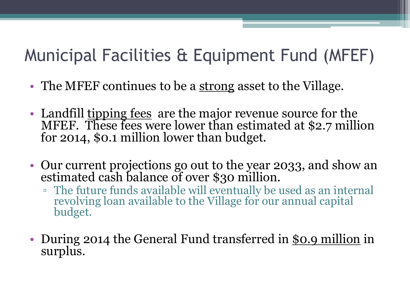## Municipal Facilities & Equipment Fund (MFEF)

- The MFEF continues to be a <u>strong</u> asset to the Village.
- Landfill <u>tipping fees</u> are the major revenue source for the MFEF. These fees were lower than estimated at \$2.7 million for 2014, \$0.1 million lower than budget.
- Our current projections go out to the year 2033, and show an estimated cash balance of over \$30 million.
	- The future funds available will eventually be used as an internal revolving loan available to the Village for our annual capital budget.
- During 2014 the General Fund transferred in \$0.9 million in surplus.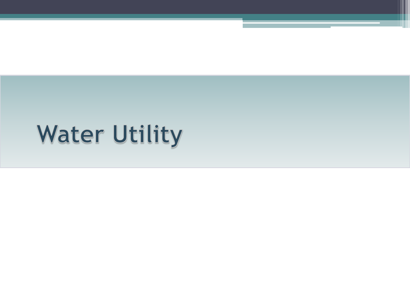# **Water Utility**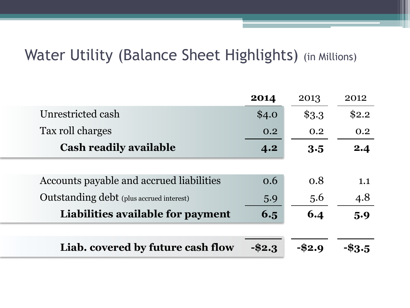#### Water Utility (Balance Sheet Highlights) (in Millions)

|                                                 | 2014      | 2013     | 2012  |
|-------------------------------------------------|-----------|----------|-------|
| Unrestricted cash                               | \$4.0     | $\$3.3$  | \$2.2 |
| Tax roll charges                                | 0.2       | 0.2      | 0.2   |
| <b>Cash readily available</b>                   | 4.2       | 3.5      | 2.4   |
|                                                 |           |          |       |
| Accounts payable and accrued liabilities        | 0.6       | 0.8      | 1.1   |
| <b>Outstanding debt</b> (plus accrued interest) | 5.9       | 5.6      | 4.8   |
| Liabilities available for payment               | 6.5       | 6.4      | 5.9   |
|                                                 |           |          |       |
| Liab. covered by future cash flow               | $-$ \$2.3 | $- $2.9$ |       |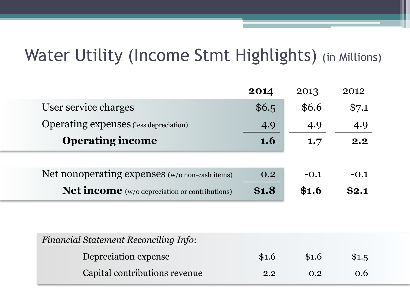## Water Utility (Income Stmt Highlights) (in Millions)

|                                                       | 2014       | 2013   | 2012   |
|-------------------------------------------------------|------------|--------|--------|
| User service charges                                  | \$6.5      | \$6.6  | \$7.1  |
| <b>Operating expenses</b> (less depreciation)         | 4.9        | 4.9    | 4.9    |
| <b>Operating income</b>                               | <b>1.6</b> | 1.7    | 2.2    |
|                                                       |            |        |        |
| Net nonoperating expenses (w/o non-cash items)        | 0.2        | $-0.1$ | $-0.1$ |
| <b>Net income</b> (w/o depreciation or contributions) | \$1.8      | \$1.6  | \$2.1  |
|                                                       |            |        |        |

| <b>Financial Statement Reconciling Info:</b> |       |       |       |
|----------------------------------------------|-------|-------|-------|
| Depreciation expense                         | \$1.6 | \$1.6 | \$1.5 |
| Capital contributions revenue                | 2.2   | 0.2   | 0.6   |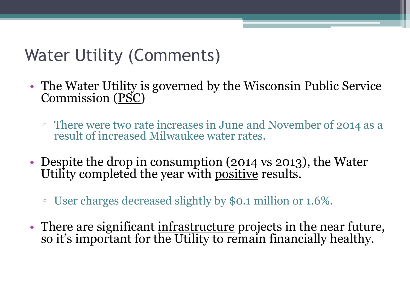## Water Utility (Comments)

- The Water Utility is governed by the Wisconsin Public Service Commission (PSC)
	- There were two rate increases in June and November of 2014 as a result of increased Milwaukee water rates.
- Despite the drop in consumption (2014 vs 2013), the Water Utility completed the year with positive results.
	- User charges decreased slightly by \$0.1 million or 1.6%.
- There are significant infrastructure projects in the near future, so it's important for the Utility to remain financially healthy.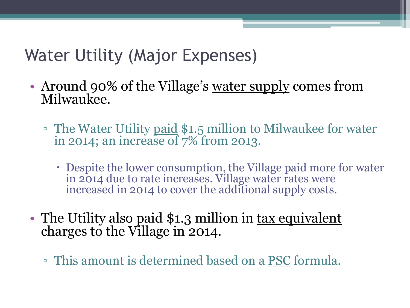## Water Utility (Major Expenses)

- Around 90% of the Village's <u>water supply</u> comes from Milwaukee.
	- □ The Water Utility paid \$1.5 million to Milwaukee for water in 2014; an increase of 7% from 2013.
		- Despite the lower consumption, the Village paid more for water in 2014 due to rate increases. Village water rates were increased in 2014 to cover the additional supply costs.
- The Utility also paid \$1.3 million in <u>tax equivalent</u> charges to the Village in 2014.
	- This amount is determined based on a PSC formula.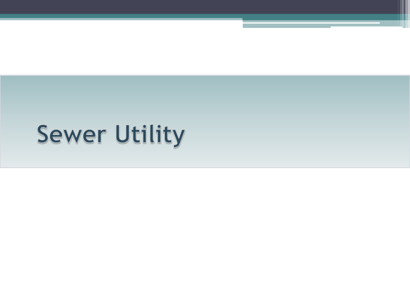# **Sewer Utility**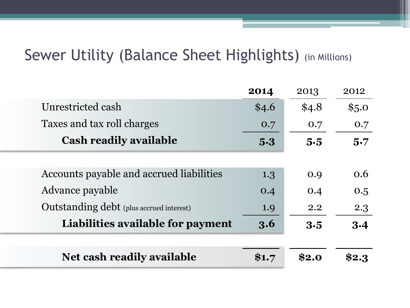#### Sewer Utility (Balance Sheet Highlights) (in Millions)

|                                                 | 2014  | 2013  | 2012  |
|-------------------------------------------------|-------|-------|-------|
| Unrestricted cash                               | \$4.6 | \$4.8 | \$5.0 |
| Taxes and tax roll charges                      | 0.7   | 0.7   | 0.7   |
| <b>Cash readily available</b>                   | 5.3   | 5.5   | 5.7   |
|                                                 |       |       |       |
| Accounts payable and accrued liabilities        | 1.3   | 0.9   | 0.6   |
| Advance payable                                 | 0.4   | 0.4   | 0.5   |
| <b>Outstanding debt</b> (plus accrued interest) | 1.9   | 2.2   | 2.3   |
| Liabilities available for payment               | 3.6   | 3.5   | 3.4   |
|                                                 |       |       |       |
| <b>Net cash readily available</b>               | \$1.7 | \$2.0 | \$2.3 |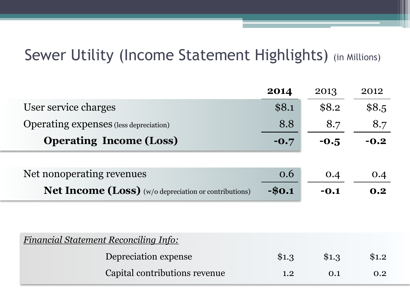#### Sewer Utility (Income Statement Highlights) (in Millions)

|                                                              | 2014    | 2013   | 2012   |
|--------------------------------------------------------------|---------|--------|--------|
| User service charges                                         | \$8.1   | \$8.2  | \$8.5  |
| <b>Operating expenses</b> (less depreciation)                | 8.8     | 8.7    | 8.7    |
| <b>Operating Income (Loss)</b>                               | $-0.7$  | $-0.5$ | $-0.2$ |
|                                                              |         |        |        |
| Net nonoperating revenues                                    | 0.6     | O.4    | 0.4    |
| <b>Net Income (Loss)</b> (w/o depreciation or contributions) | $-$0.1$ | $-0.1$ | 0.2    |
|                                                              |         |        |        |
|                                                              |         |        |        |
| <b>Financial Statement Reconciling Info:</b>                 |         |        |        |

| Depreciation expense          | \$1.3 | \$1.3 | \$1.2 |
|-------------------------------|-------|-------|-------|
| Capital contributions revenue | 1.2   | 0.1   | 0.2   |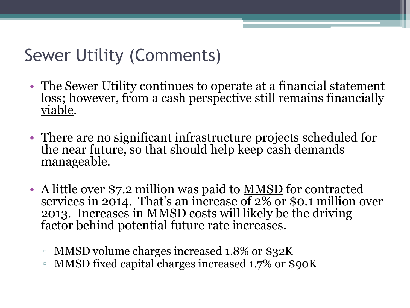## Sewer Utility (Comments)

- The Sewer Utility continues to operate at a financial statement loss; however, from a cash perspective still remains financially viable.
- There are no significant <u>infrastructure</u> projects scheduled for the near future, so that should help keep cash demands manageable.
- A little over \$7.2 million was paid to MMSD for contracted services in 2014. That's an increase of 2% or \$0.1 million over 2013. Increases in MMSD costs will likely be the driving factor behind potential future rate increases.
	- MMSD volume charges increased 1.8% or \$32K
	- MMSD fixed capital charges increased 1.7% or \$90K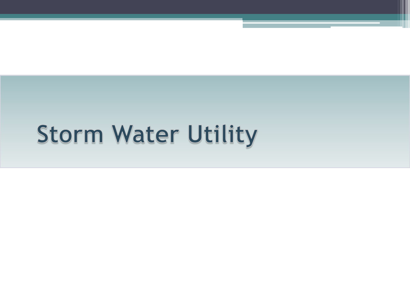## **Storm Water Utility**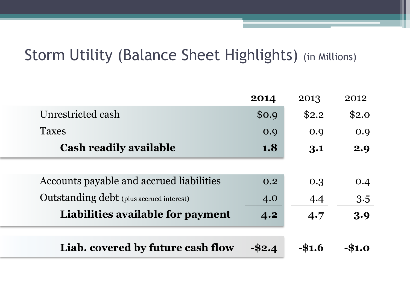#### Storm Utility (Balance Sheet Highlights) (in Millions)

|                                                 | 2014  | 2013     | 2012  |
|-------------------------------------------------|-------|----------|-------|
| Unrestricted cash                               | \$0.9 | \$2.2    | \$2.0 |
| <b>Taxes</b>                                    | 0.9   | 0.9      | 0.9   |
| <b>Cash readily available</b>                   | 1.8   | 3.1      | 2.9   |
|                                                 |       |          |       |
| Accounts payable and accrued liabilities        | 0.2   | 0.3      | 0.4   |
| <b>Outstanding debt</b> (plus accrued interest) | 4.0   | 4.4      | 3.5   |
| Liabilities available for payment               | 4.2   | 4.7      | 3.9   |
|                                                 |       |          |       |
| Liab. covered by future cash flow               |       | $-\$1.6$ |       |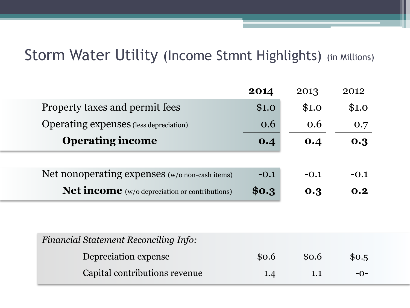#### Storm Water Utility (Income Stmnt Highlights) (in Millions)

|                                                       | 2014   | 2013   | 2012   |
|-------------------------------------------------------|--------|--------|--------|
| Property taxes and permit fees                        | \$1.0  | \$1.0  | \$1.0  |
| <b>Operating expenses</b> (less depreciation)         | 0.6    | 0.6    | 0.7    |
| <b>Operating income</b>                               | 0.4    | 0.4    | 0.3    |
|                                                       |        |        |        |
| Net nonoperating expenses (w/o non-cash items)        | $-0.1$ | $-0.1$ | $-0.1$ |
| <b>Net income</b> (w/o depreciation or contributions) | \$0.3  | 0.3    | 0.2    |

| <b>Financial Statement Reconciling Info:</b> |       |       |       |
|----------------------------------------------|-------|-------|-------|
| Depreciation expense                         | \$0.6 | \$0.6 | \$0.5 |
| Capital contributions revenue                | 1.4   | 1.1   | $-0-$ |